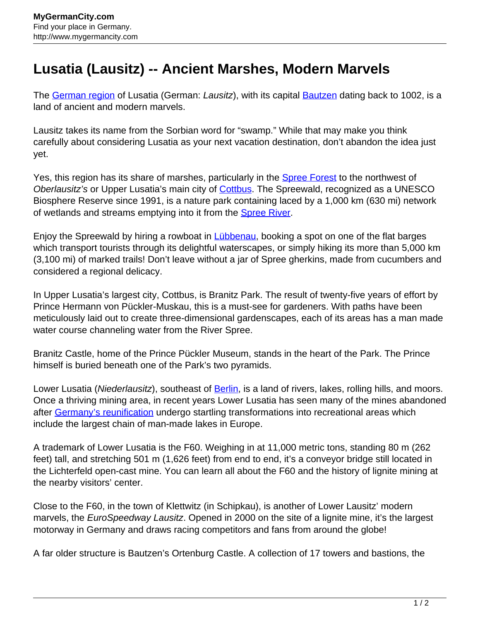## **Lusatia (Lausitz) -- Ancient Marshes, Modern Marvels**

The [German region](http://www.mygermancity.com/german-regions) of Lusatia (German: Lausitz), with its capital [Bautzen](http://www.mygermancity.com/bautzen) dating back to 1002, is a land of ancient and modern marvels.

Lausitz takes its name from the Sorbian word for "swamp." While that may make you think carefully about considering Lusatia as your next vacation destination, don't abandon the idea just yet.

Yes, this region has its share of marshes, particularly in the **[Spree Forest](http://www.mygermancity.com/spree-forest)** to the northwest of Oberlausitz's or Upper Lusatia's main city of **[Cottbus](http://www.mygermancity.com/cottbus)**. The Spreewald, recognized as a UNESCO Biosphere Reserve since 1991, is a nature park containing laced by a 1,000 km (630 mi) network of wetlands and streams emptying into it from the **Spree River**.

Enjoy the Spreewald by hiring a rowboat in *Lübbenau*, booking a spot on one of the flat barges which transport tourists through its delightful waterscapes, or simply hiking its more than 5,000 km (3,100 mi) of marked trails! Don't leave without a jar of Spree gherkins, made from cucumbers and considered a regional delicacy.

In Upper Lusatia's largest city, Cottbus, is Branitz Park. The result of twenty-five years of effort by Prince Hermann von Pückler-Muskau, this is a must-see for gardeners. With paths have been meticulously laid out to create three-dimensional gardenscapes, each of its areas has a man made water course channeling water from the River Spree.

Branitz Castle, home of the Prince Pückler Museum, stands in the heart of the Park. The Prince himself is buried beneath one of the Park's two pyramids.

Lower Lusatia (Niederlausitz), southeast of [Berlin,](http://www.mygermancity.com/berlin) is a land of rivers, lakes, rolling hills, and moors. Once a thriving mining area, in recent years Lower Lusatia has seen many of the mines abandoned after [Germany's reunification](http://www.mygermancity.com/german-reunification) undergo startling transformations into recreational areas which include the largest chain of man-made lakes in Europe.

A trademark of Lower Lusatia is the F60. Weighing in at 11,000 metric tons, standing 80 m (262 feet) tall, and stretching 501 m (1,626 feet) from end to end, it's a conveyor bridge still located in the Lichterfeld open-cast mine. You can learn all about the F60 and the history of lignite mining at the nearby visitors' center.

Close to the F60, in the town of Klettwitz (in Schipkau), is another of Lower Lausitz' modern marvels, the EuroSpeedway Lausitz. Opened in 2000 on the site of a lignite mine, it's the largest motorway in Germany and draws racing competitors and fans from around the globe!

A far older structure is Bautzen's Ortenburg Castle. A collection of 17 towers and bastions, the